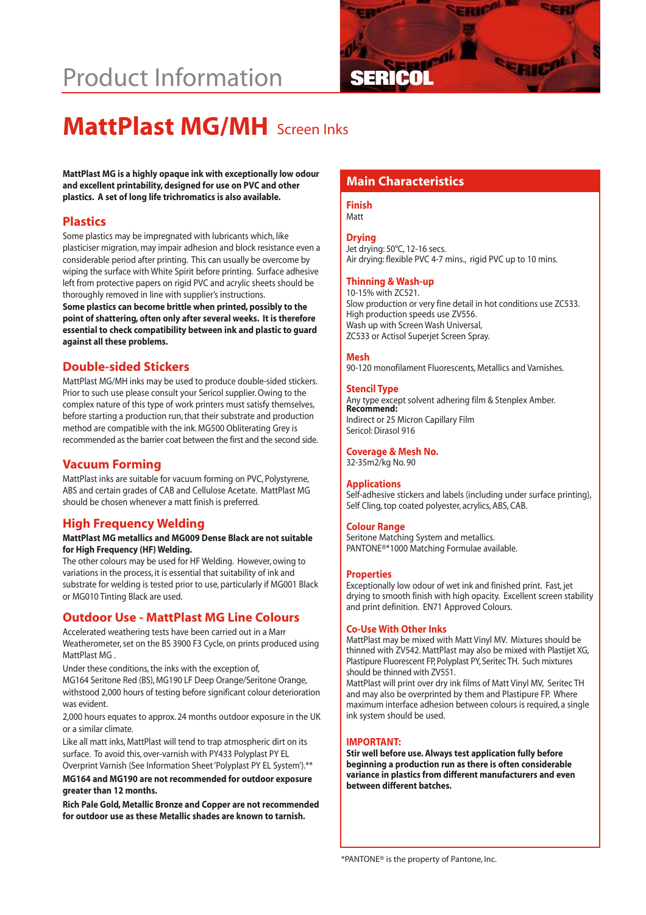# **Product Information**



# **MattPlast MG/MH** Screen Inks

MattPlast MG is a highly opaque ink with exceptionally low odour<br>and excellent printability, designed for use on PVC and other**ich and and and Characteristics plastics. A set of long life trichromatics is also available.**

#### **Plastics**

Some plastics may be impregnated with lubricants which, like plasticiser migration, may impair adhesion and block resistance even a considerable period after printing. This can usually be overcome by wiping the surface with White Spirit before printing. Surface adhesive left from protective papers on rigid PVC and acrylic sheets should be thoroughly removed in line with supplier's instructions. **Some plastics can become brittle when printed, possibly to the point of shattering, often only after several weeks. It is therefore essential to check compatibility between ink and plastic to guard against all these problems.**

### **Double-sided Stickers**

MattPlast MG/MH inks may be used to produce double-sided stickers. Prior to such use please consult your Sericol supplier. Owing to the complex nature of this type of work printers must satisfy themselves, before starting a production run, that their substrate and production method are compatible with the ink. MG500 Obliterating Grey is recommended as the barrier coat between the first and the second side.

# **Vacuum Forming**

MattPlast inks are suitable for vacuum forming on PVC, Polystyrene, ABS and certain grades of CAB and Cellulose Acetate. MattPlast MG should be chosen whenever a matt finish is preferred.

# **High Frequency Welding**

#### **MattPlast MG metallics and MG009 Dense Black are not suitable for High Frequency (HF) Welding.**

The other colours may be used for HF Welding. However, owing to variations in the process, it is essential that suitability of ink and substrate for welding is tested prior to use, particularly if MG001 Black or MG010 Tinting Black are used.

# **Outdoor Use - MattPlast MG Line Colours**

Accelerated weathering tests have been carried out in a Marr Weatherometer, set on the BS 3900 F3 Cycle, on prints produced using MattPlast MG .

Under these conditions, the inks with the exception of,

MG164 Seritone Red (BS), MG190 LF Deep Orange/Seritone Orange, withstood 2,000 hours of testing before significant colour deterioration was evident.

2,000 hours equates to approx. 24 months outdoor exposure in the UK or a similar climate.

Like all matt inks, MattPlast will tend to trap atmospheric dirt on its surface. To avoid this, over-varnish with PY433 Polyplast PY EL

Overprint Varnish (See Information Sheet 'Polyplast PY EL System').\*\*

**MG164 and MG190 are not recommended for outdoor exposure greater than 12 months.**

**Rich Pale Gold, Metallic Bronze and Copper are not recommended for outdoor use as these Metallic shades are known to tarnish.**

# **Finish**

Matt

#### **Drying**

Jet drying: 50°C, 12-16 secs. Air drying: flexible PVC 4-7 mins., rigid PVC up to 10 mins.

#### **Thinning & Wash-up**

10-15% with ZC521. Slow production or very fine detail in hot conditions use ZC533. High production speeds use ZV556. Wash up with Screen Wash Universal, ZC533 or Actisol Superjet Screen Spray.

#### **Mesh**

90-120 monofilament Fluorescents, Metallics and Varnishes.

#### **Stencil Type**

Any type except solvent adhering film & Stenplex Amber. **Recommend:** Indirect or 25 Micron Capillary Film Sericol: Dirasol 916

#### **Coverage & Mesh No.**

32-35m2/kg No. 90

#### **Applications**

Self-adhesive stickers and labels (including under surface printing), Self Cling, top coated polyester, acrylics, ABS, CAB.

#### **Colour Range**

Seritone Matching System and metallics. PANTONE®\*1000 Matching Formulae available.

#### **Properties**

Exceptionally low odour of wet ink and finished print. Fast, jet drying to smooth finish with high opacity. Excellent screen stability and print definition. EN71 Approved Colours.

#### **Co-Use With Other Inks**

MattPlast may be mixed with Matt Vinyl MV. Mixtures should be thinned with ZV542. MattPlast may also be mixed with Plastijet XG, Plastipure Fluorescent FP, Polyplast PY, Seritec TH. Such mixtures should be thinned with ZV551.

MattPlast will print over dry ink films of Matt Vinyl MV, Seritec TH and may also be overprinted by them and Plastipure FP. Where maximum interface adhesion between colours is required, a single ink system should be used.

#### **IMPORTANT:**

**Stir well before use. Always test application fully before beginning a production run as there is often considerable variance in plastics from different manufacturers and even between different batches.**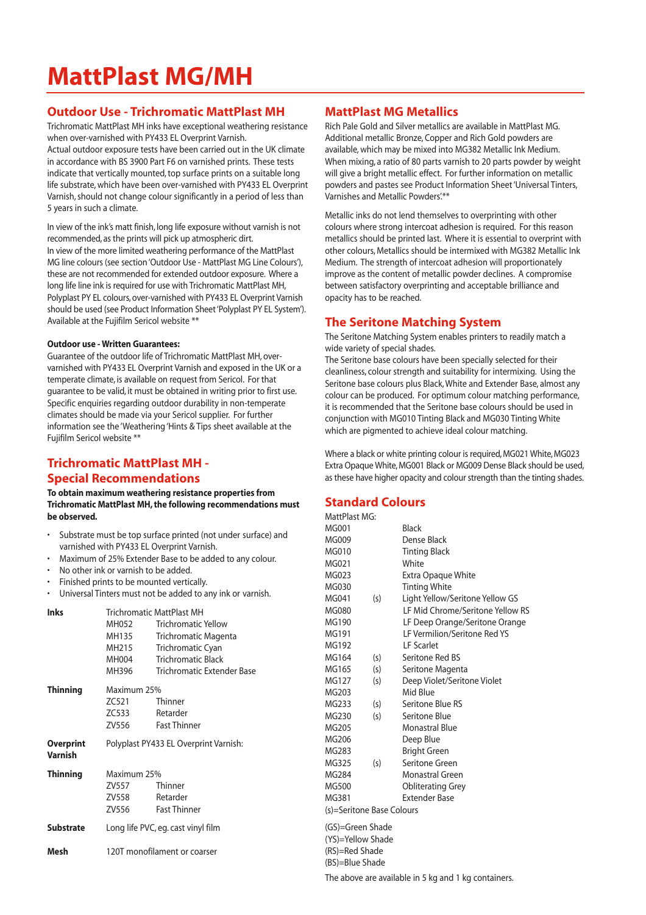# **MattPlast MG/MH**

# **Outdoor Use - Trichromatic MattPlast MH**

Trichromatic MattPlast MH inks have exceptional weathering resistance when over-varnished with PY433 EL Overprint Varnish.

Actual outdoor exposure tests have been carried out in the UK climate in accordance with BS 3900 Part F6 on varnished prints. These tests indicate that vertically mounted, top surface prints on a suitable long life substrate, which have been over-varnished with PY433 EL Overprint Varnish, should not change colour significantly in a period of less than 5 years in such a climate.

In view of the ink's matt finish, long life exposure without varnish is not recommended, as the prints will pick up atmospheric dirt. In view of the more limited weathering performance of the MattPlast MG line colours (see section 'Outdoor Use - MattPlast MG Line Colours'), these are not recommended for extended outdoor exposure. Where a long life line ink is required for use with Trichromatic MattPlast MH, Polyplast PY EL colours, over-varnished with PY433 EL Overprint Varnish should be used (see Product Information Sheet 'Polyplast PY EL System'). Available at the Fujifilm Sericol website \*\*

#### **Outdoor use - Written Guarantees:**

Guarantee of the outdoor life of Trichromatic MattPlast MH, overvarnished with PY433 EL Overprint Varnish and exposed in the UK or a temperate climate, is available on request from Sericol. For that guarantee to be valid, it must be obtained in writing prior to first use. Specific enquiries regarding outdoor durability in non-temperate climates should be made via your Sericol supplier. For further information see the 'Weathering 'Hints & Tips sheet available at the Fujifilm Sericol website \*\*

# **Trichromatic MattPlast MH - Special Recommendations**

#### **To obtain maximum weathering resistance properties from Trichromatic MattPlast MH, the following recommendations must be observed.**

- Substrate must be top surface printed (not under surface) and varnished with PY433 EL Overprint Varnish.
- Maximum of 25% Extender Base to be added to any colour.
- No other ink or varnish to be added.
- Finished prints to be mounted vertically.
- Universal Tinters must not be added to any ink or varnish.

| <b>Inks</b>                 | MH052<br>MH135<br>MH215<br>MH004<br>MH396 | <b>Trichromatic MattPlast MH</b><br><b>Trichromatic Yellow</b><br>Trichromatic Magenta<br>Trichromatic Cyan<br><b>Trichromatic Black</b><br>Trichromatic Extender Base |
|-----------------------------|-------------------------------------------|------------------------------------------------------------------------------------------------------------------------------------------------------------------------|
| <b>Thinning</b>             | Maximum 25%<br>ZC521<br>ZC533<br>ZV556    | Thinner<br>Retarder<br><b>Fast Thinner</b>                                                                                                                             |
| <b>Overprint</b><br>Varnish | Polyplast PY433 EL Overprint Varnish:     |                                                                                                                                                                        |
| <b>Thinning</b>             | Maximum 25%<br>ZV557<br>ZV558<br>ZV556    | Thinner<br>Retarder<br><b>Fast Thinner</b>                                                                                                                             |
| <b>Substrate</b>            | Long life PVC, eg. cast vinyl film        |                                                                                                                                                                        |
| Mesh                        | 120T monofilament or coarser              |                                                                                                                                                                        |

# **MattPlast MG Metallics**

Rich Pale Gold and Silver metallics are available in MattPlast MG. Additional metallic Bronze, Copper and Rich Gold powders are available, which may be mixed into MG382 Metallic Ink Medium. When mixing, a ratio of 80 parts varnish to 20 parts powder by weight will give a bright metallic effect. For further information on metallic powders and pastes see Product Information Sheet 'Universal Tinters, Varnishes and Metallic Powders'.\*\*

Metallic inks do not lend themselves to overprinting with other colours where strong intercoat adhesion is required. For this reason metallics should be printed last. Where it is essential to overprint with other colours, Metallics should be intermixed with MG382 Metallic Ink Medium. The strength of intercoat adhesion will proportionately improve as the content of metallic powder declines. A compromise between satisfactory overprinting and acceptable brilliance and opacity has to be reached.

# **The Seritone Matching System**

The Seritone Matching System enables printers to readily match a wide variety of special shades.

The Seritone base colours have been specially selected for their cleanliness, colour strength and suitability for intermixing. Using the Seritone base colours plus Black, White and Extender Base, almost any colour can be produced. For optimum colour matching performance, it is recommended that the Seritone base colours should be used in conjunction with MG010 Tinting Black and MG030 Tinting White which are pigmented to achieve ideal colour matching.

Where a black or white printing colour is required, MG021 White, MG023 Extra Opaque White, MG001 Black or MG009 Dense Black should be used, as these have higher opacity and colour strength than the tinting shades.

# **Standard Colours**

Matter Matter

| Mattriast MG:             |     |                                  |
|---------------------------|-----|----------------------------------|
| MG001                     |     | Black                            |
| MG009                     |     | Dense Black                      |
| MG010                     |     | <b>Tinting Black</b>             |
| MG021                     |     | White                            |
| MG023                     |     | Extra Opaque White               |
| MG030                     |     | <b>Tinting White</b>             |
| MG041                     | (s) | Light Yellow/Seritone Yellow GS  |
| MG080                     |     | LF Mid Chrome/Seritone Yellow RS |
| MG190                     |     | LF Deep Orange/Seritone Orange   |
| MG191                     |     | LF Vermilion/Seritone Red YS     |
| MG192                     |     | <b>IF</b> Scarlet                |
| MG164                     | (s) | Seritone Red BS                  |
| MG165                     | (s) | Seritone Magenta                 |
| MG127                     | (s) | Deep Violet/Seritone Violet      |
| MG203                     |     | Mid Blue                         |
| MG233                     | (s) | Seritone Blue RS                 |
| MG230                     | (s) | Seritone Blue                    |
| MG205                     |     | <b>Monastral Blue</b>            |
| MG206                     |     | Deep Blue                        |
| MG283                     |     | <b>Bright Green</b>              |
| MG325                     | (s) | Seritone Green                   |
| MG284                     |     | Monastral Green                  |
| MG500                     |     | <b>Obliterating Grey</b>         |
| MG381                     |     | <b>Extender Base</b>             |
| (s)=Seritone Base Colours |     |                                  |
| (GS)=Green Shade          |     |                                  |
| (YS)=Yellow Shade         |     |                                  |

(RS)=Red Shade (BS)=Blue Shade

The above are available in 5 kg and 1 kg containers.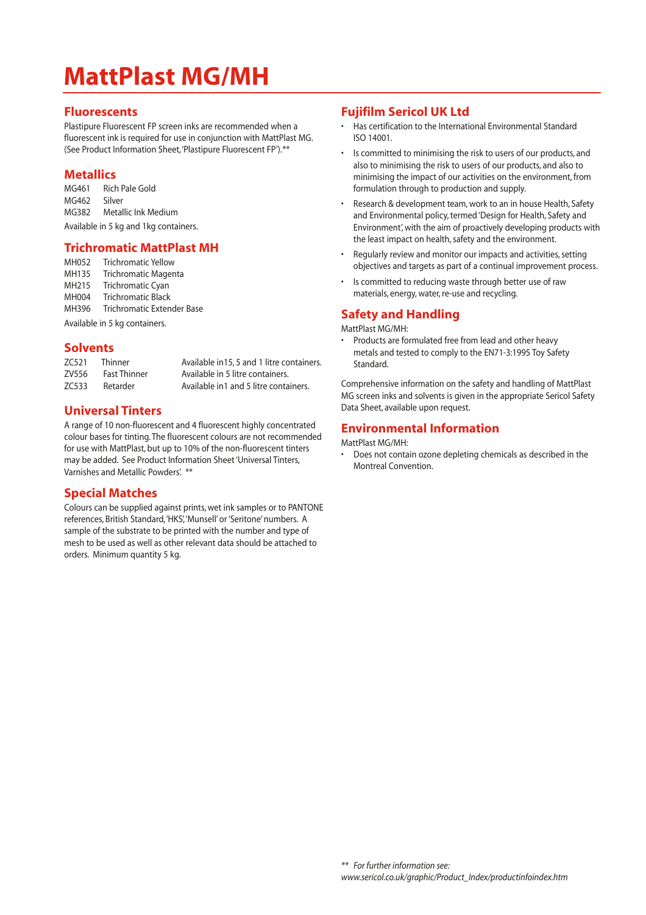# **MattPlast MG/MH**

### **Fluorescents**

Plastipure Fluorescent FP screen inks are recommended when a fluorescent ink is required for use in conjunction with MattPlast MG. (See Product Information Sheet,'Plastipure Fluorescent FP').*\*\**

# **Metallics**

MG461 Rich Pale Gold MG462 Silver MG382 Metallic Ink Medium Available in 5 kg and 1kg containers.

### **Trichromatic MattPlast MH**

| MH052                         | <b>Trichromatic Yellow</b> |  |
|-------------------------------|----------------------------|--|
| MH135                         | Trichromatic Magenta       |  |
| MH215                         | Trichromatic Cyan          |  |
| MH004                         | <b>Trichromatic Black</b>  |  |
| MH396                         | Trichromatic Extender Base |  |
| Available in 5 kg containers. |                            |  |

# **Solvents**

| ZC521 | Thinner             | Available in 15, 5 and 1 litre containers. |
|-------|---------------------|--------------------------------------------|
| ZV556 | <b>Fast Thinner</b> | Available in 5 litre containers.           |
| ZC533 | Retarder            | Available in1 and 5 litre containers.      |

# **Universal Tinters**

A range of 10 non-fluorescent and 4 fluorescent highly concentrated colour bases for tinting. The fluorescent colours are not recommended for use with MattPlast, but up to 10% of the non-fluorescent tinters may be added. See Product Information Sheet 'Universal Tinters, Varnishes and Metallic Powders'. *\*\**

### **Special Matches**

Colours can be supplied against prints, wet ink samples or to PANTONE references, British Standard,'HKS','Munsell' or 'Seritone' numbers. A sample of the substrate to be printed with the number and type of mesh to be used as well as other relevant data should be attached to orders. Minimum quantity 5 kg.

# **Fujifilm Sericol UK Ltd**

- Has certification to the International Environmental Standard ISO 14001.
- Is committed to minimising the risk to users of our products, and also to minimising the risk to users of our products, and also to minimising the impact of our activities on the environment, from formulation through to production and supply.
- Research & development team, work to an in house Health, Safety and Environmental policy, termed 'Design for Health, Safety and Environment', with the aim of proactively developing products with the least impact on health, safety and the environment.
- Regularly review and monitor our impacts and activities, setting objectives and targets as part of a continual improvement process.
- Is committed to reducing waste through better use of raw materials, energy, water, re-use and recycling.

# **Safety and Handling**

#### MattPlast MG/MH:

• Products are formulated free from lead and other heavy metals and tested to comply to the EN71-3:1995 Toy Safety **Standard** 

Comprehensive information on the safety and handling of MattPlast MG screen inks and solvents is given in the appropriate Sericol Safety Data Sheet, available upon request.

# **Environmental Information**

#### MattPlast MG/MH:

• Does not contain ozone depleting chemicals as described in the Montreal Convention.